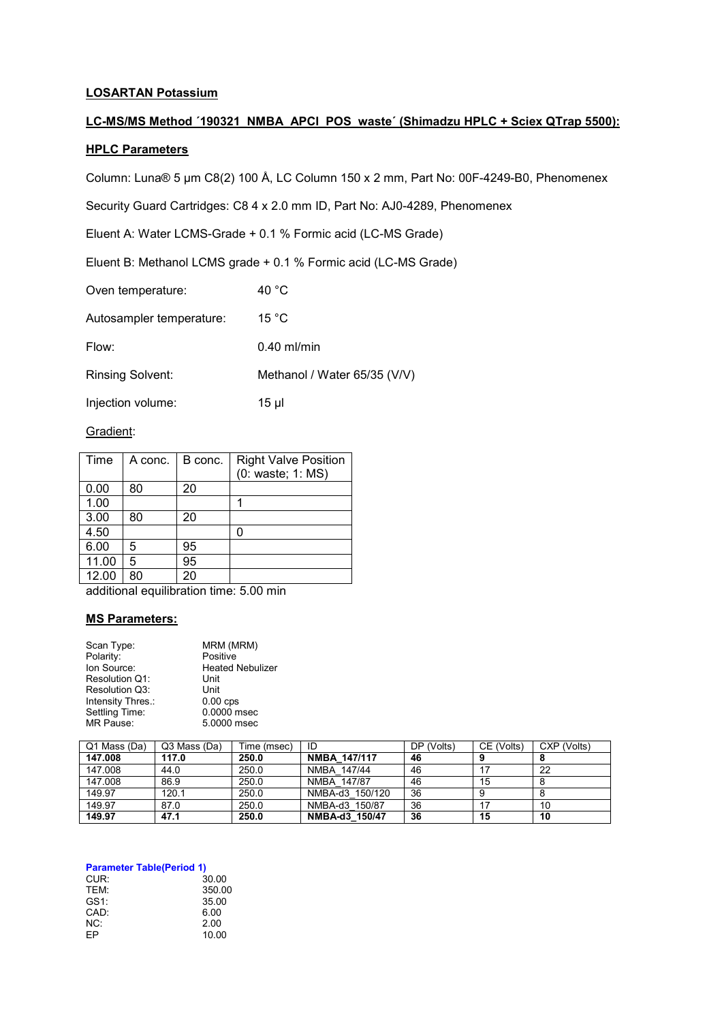# **LOSARTAN Potassium**

# LC-MS/MS Method '190321 NMBA\_APCI\_POS\_waste' (Shimadzu HPLC + Sciex QTrap 5500):

### **HPLC Parameters**

Column: Luna® 5 µm C8(2) 100 Å, LC Column 150 x 2 mm, Part No: 00F-4249-B0, Phenomenex

Security Guard Cartridges: C8 4 x 2.0 mm ID, Part No: AJ0-4289, Phenomenex

Eluent A: Water LCMS-Grade + 0.1 % Formic acid (LC-MS Grade)

Eluent B: Methanol LCMS grade + 0.1 % Formic acid (LC-MS Grade)

Oven temperature: 40 °C

Autosampler temperature: 15 °C

Flow: 0.40 ml/min

Rinsing Solvent: Methanol / Water 65/35 (V/V)

Injection volume: 15 µl

#### Gradient:

| Time  | A conc. | B conc. | <b>Right Valve Position</b><br>(0: waste; 1: MS) |
|-------|---------|---------|--------------------------------------------------|
| 0.00  | 80      | 20      |                                                  |
| 1.00  |         |         |                                                  |
| 3.00  | 80      | 20      |                                                  |
| 4.50  |         |         |                                                  |
| 6.00  | 5       | 95      |                                                  |
| 11.00 | 5       | 95      |                                                  |
| 12.00 | 80      | 20      |                                                  |

additional equilibration time: 5.00 min

# **MS Parameters:**

| Scan Type:        | MRM (MRM)               |
|-------------------|-------------------------|
| Polarity:         | Positive                |
| Ion Source:       | <b>Heated Nebulizer</b> |
| Resolution Q1:    | Unit                    |
| Resolution Q3:    | Unit                    |
| Intensity Thres.: | $0.00$ cps              |
| Settling Time:    | 0.0000 msec             |
| MR Pause:         | 5.0000 msec             |
|                   |                         |

| Q1 Mass (Da) | Q3 Mass (Da) | Time (msec) | ID                  | DP (Volts) | CE (Volts) | CXP (Volts) |
|--------------|--------------|-------------|---------------------|------------|------------|-------------|
| 147.008      | 117.0        | 250.0       | <b>NMBA 147/117</b> | 46         |            |             |
| 147.008      | 44.0         | 250.0       | NMBA 147/44         | 46         |            | 22          |
| 147.008      | 86.9         | 250.0       | NMBA 147/87         | 46         | 15         |             |
| 149.97       | 120.1        | 250.0       | NMBA-d3 150/120     | 36         |            |             |
| 149.97       | 87.0         | 250.0       | NMBA-d3 150/87      | 36         |            | 10          |
| 149.97       | 47.1         | 250.0       | NMBA-d3 150/47      | 36         | 15         | 10          |

#### **Parameter Table(Period 1)**

| CUR:       | 30.00  |
|------------|--------|
| <b>TFM</b> | 350.00 |
| GS1:       | 35.00  |
| CAD:       | 6.00   |
| NC:        | 2.00   |
| FP         | 10.00  |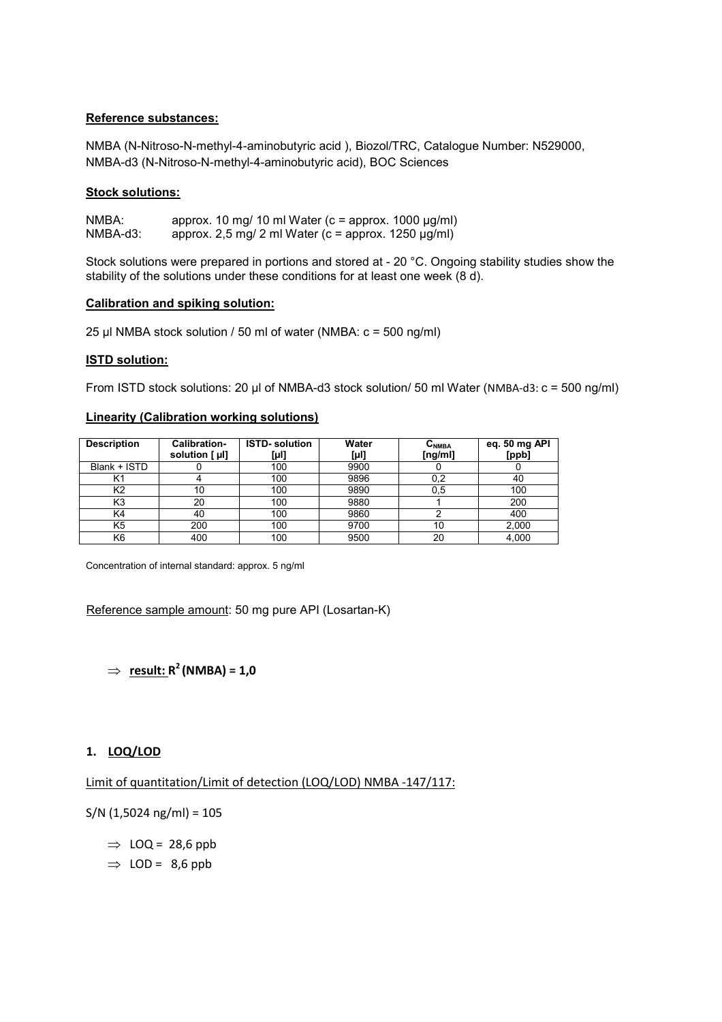# **Reference substances:**

NMBA (N-Nitroso-N-methyl-4-aminobutyric acid ), Biozol/TRC, Catalogue Number: N529000, NMBA-d3 (N-Nitroso-N-methyl-4-aminobutyric acid), BOC Sciences

### **Stock solutions:**

NMBA: approx. 10 mg/ 10 ml Water (c = approx. 1000  $\mu$ g/ml)<br>NMBA-d3: approx. 2.5 mg/ 2 ml Water (c = approx. 1250  $\mu$ g/ml) approx. 2,5 mg/ 2 ml Water (c = approx. 1250  $\mu$ g/ml)

Stock solutions were prepared in portions and stored at - 20 °C. Ongoing stability studies show the stability of the solutions under these conditions for at least one week (8 d).

#### **Calibration and spiking solution:**

25 µl NMBA stock solution / 50 ml of water (NMBA: c = 500 ng/ml)

### **ISTD solution:**

From ISTD stock solutions: 20 µl of NMBA-d3 stock solution/ 50 ml Water (NMBA-d3: c = 500 ng/ml)

### **Linearity (Calibration working solutions)**

| <b>Description</b> | Calibration-<br>solution [ µl] | <b>ISTD-</b> solution<br>[µl] | Water<br>[µl] | $C_{NMBA}$<br>[ng/ml] | eq. 50 mg API<br>[ppb] |
|--------------------|--------------------------------|-------------------------------|---------------|-----------------------|------------------------|
| Blank + ISTD       |                                | 100                           | 9900          |                       |                        |
| Κ1                 |                                | 100                           | 9896          | 0,2                   | 40                     |
| К2                 | 10                             | 100                           | 9890          | 0,5                   | 100                    |
| K3                 | 20                             | 100                           | 9880          |                       | 200                    |
| K4                 | 40                             | 100                           | 9860          |                       | 400                    |
| K5                 | 200                            | 100                           | 9700          | 10                    | 2,000                  |
| K6                 | 400                            | 100                           | 9500          | 20                    | 4.000                  |

Concentration of internal standard: approx. 5 ng/ml

Reference sample amount: 50 mg pure API (Losartan-K)

 $\Rightarrow$  **result:**  $R^2$  (NMBA) = 1,0

# **1. LOQ/LOD**

Limit of quantitation/Limit of detection (LOQ/LOD) NMBA -147/117:

 $S/N$  (1,5024 ng/ml) = 105

 $\Rightarrow$  LOQ = 28,6 ppb

 $\Rightarrow$  LOD = 8,6 ppb